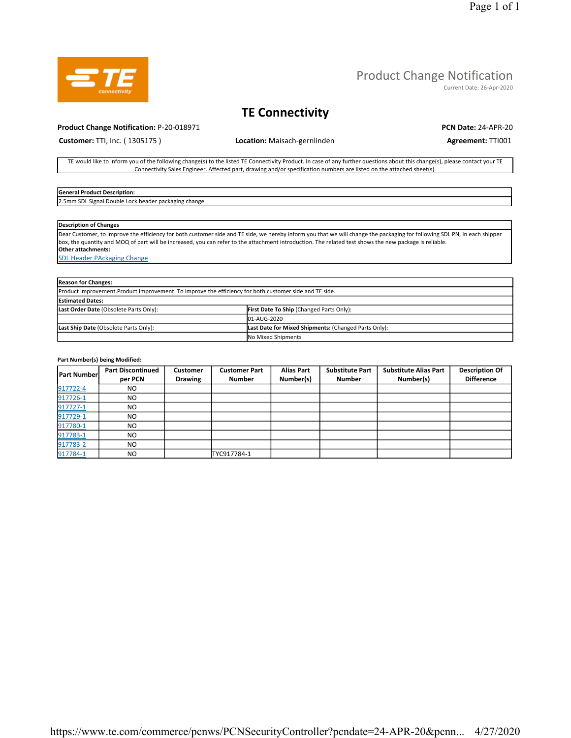

#### Product Change Notification

Current Date: 26-Apr-2020

### TE Connectivity

#### Product Change Notification: P-20-018971 PCN Date: 24-APR-20

Customer: TTI, Inc. (1305175) **Location:** Maisach-gernlinden **Agreement: TTI001 Agreement: TTI001** 

TE would like to inform you of the following change(s) to the listed TE Connectivity Product. In case of any further questions about this change(s), please contact your TE Connectivity Sales Engineer. Affected part, drawing and/or specification numbers are listed on the attached sheet(s).

#### General Product Description:

2.5mm SDL Signal Double Lock header packaging change

#### Description of Changes

Dear Customer, to improve the efficiency for both customer side and TE side, we hereby inform you that we will change the packaging for following SDL PN, In each shipper box, the quantity and MOQ of part will be increased, you can refer to the attachment introduction. The related test shows the new package is reliable. Other attachments:

SDL Header PAckaging Change

| <b>Reason for Changes:</b>                                                                              |                                                      |  |  |  |  |  |
|---------------------------------------------------------------------------------------------------------|------------------------------------------------------|--|--|--|--|--|
| Product improvement. Product improvement. To improve the efficiency for both customer side and TE side. |                                                      |  |  |  |  |  |
| <b>Estimated Dates:</b>                                                                                 |                                                      |  |  |  |  |  |
| Last Order Date (Obsolete Parts Only):                                                                  | <b>First Date To Ship (Changed Parts Only):</b>      |  |  |  |  |  |
|                                                                                                         | 01-AUG-2020                                          |  |  |  |  |  |
| Last Ship Date (Obsolete Parts Only):                                                                   | Last Date for Mixed Shipments: (Changed Parts Only): |  |  |  |  |  |
|                                                                                                         | No Mixed Shipments                                   |  |  |  |  |  |

#### Part Number(s) being Modified:

| <b>Part Number</b> | <b>Part Discontinued</b><br>per PCN | <b>Customer</b><br><b>Drawing</b> | <b>Customer Part</b><br><b>Number</b> | <b>Alias Part</b><br>Number(s) | <b>Substitute Part</b><br><b>Number</b> | <b>Substitute Alias Part</b><br>Number(s) | <b>Description Of</b><br><b>Difference</b> |
|--------------------|-------------------------------------|-----------------------------------|---------------------------------------|--------------------------------|-----------------------------------------|-------------------------------------------|--------------------------------------------|
| 917722-4           | NO.                                 |                                   |                                       |                                |                                         |                                           |                                            |
| 917726-1           | NO.                                 |                                   |                                       |                                |                                         |                                           |                                            |
| 917727-1           | NO.                                 |                                   |                                       |                                |                                         |                                           |                                            |
| 917729-1           | <b>NO</b>                           |                                   |                                       |                                |                                         |                                           |                                            |
| 917780-1           | NO.                                 |                                   |                                       |                                |                                         |                                           |                                            |
| 917783-1           | NO.                                 |                                   |                                       |                                |                                         |                                           |                                            |
| 917783-2           | <b>NO</b>                           |                                   |                                       |                                |                                         |                                           |                                            |
| 917784-1           | NO                                  |                                   | TYC917784-1                           |                                |                                         |                                           |                                            |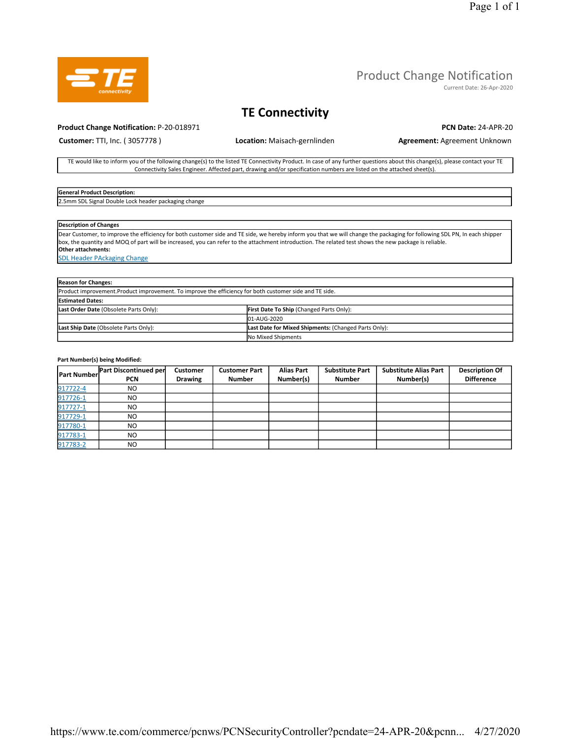

Current Date: 26-Apr-2020

### TE Connectivity

#### Product Change Notification: P-20-018971 PCN Date: 24-APR-20

Customer: TTI, Inc. (3057778) **Location:** Maisach-gernlinden **Agreement: Agreement: Agreement Unknown** 

TE would like to inform you of the following change(s) to the listed TE Connectivity Product. In case of any further questions about this change(s), please contact your TE Connectivity Sales Engineer. Affected part, drawing and/or specification numbers are listed on the attached sheet(s).

#### General Product Description:

2.5mm SDL Signal Double Lock header packaging change

#### Description of Changes

Dear Customer, to improve the efficiency for both customer side and TE side, we hereby inform you that we will change the packaging for following SDL PN, In each shipper box, the quantity and MOQ of part will be increased, you can refer to the attachment introduction. The related test shows the new package is reliable. Other attachments:

SDL Header PAckaging Change

| <b>Reason for Changes:</b>                                                                              |                                                      |  |  |  |  |
|---------------------------------------------------------------------------------------------------------|------------------------------------------------------|--|--|--|--|
| Product improvement. Product improvement. To improve the efficiency for both customer side and TE side. |                                                      |  |  |  |  |
| <b>Estimated Dates:</b>                                                                                 |                                                      |  |  |  |  |
| Last Order Date (Obsolete Parts Only):                                                                  | <b>First Date To Ship (Changed Parts Only):</b>      |  |  |  |  |
|                                                                                                         | 01-AUG-2020                                          |  |  |  |  |
| Last Ship Date (Obsolete Parts Only):                                                                   | Last Date for Mixed Shipments: (Changed Parts Only): |  |  |  |  |
|                                                                                                         | No Mixed Shipments                                   |  |  |  |  |

#### Part Number(s) being Modified:

|          | <b>Part Number</b> Part Discontinued per<br>PCN | <b>Customer</b><br><b>Drawing</b> | <b>Customer Part</b><br><b>Number</b> | <b>Alias Part</b><br>Number(s) | <b>Substitute Part</b><br><b>Number</b> | <b>Substitute Alias Part</b><br>Number(s) | <b>Description Of</b><br><b>Difference</b> |
|----------|-------------------------------------------------|-----------------------------------|---------------------------------------|--------------------------------|-----------------------------------------|-------------------------------------------|--------------------------------------------|
| 917722-4 | NO.                                             |                                   |                                       |                                |                                         |                                           |                                            |
| 917726-1 | NO.                                             |                                   |                                       |                                |                                         |                                           |                                            |
| 917727-1 | NO.                                             |                                   |                                       |                                |                                         |                                           |                                            |
| 917729-1 | NO                                              |                                   |                                       |                                |                                         |                                           |                                            |
| 917780-1 | NO.                                             |                                   |                                       |                                |                                         |                                           |                                            |
| 917783-1 | NO.                                             |                                   |                                       |                                |                                         |                                           |                                            |
| 917783-2 | NO.                                             |                                   |                                       |                                |                                         |                                           |                                            |

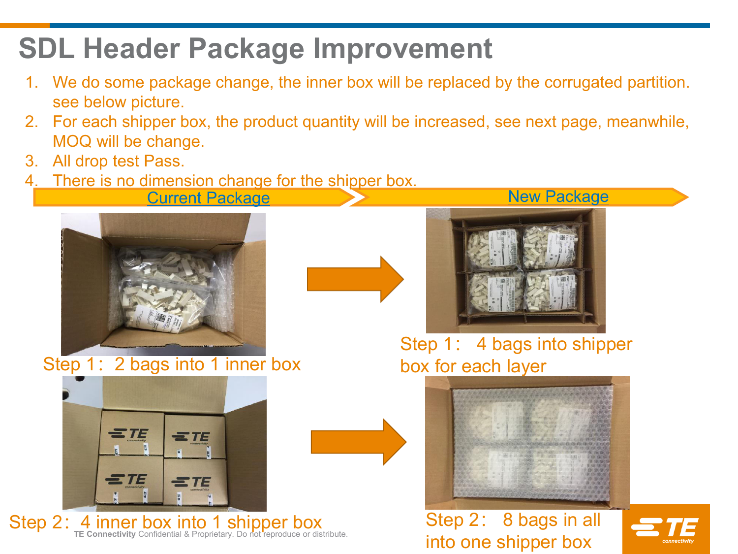## **SDL Header Package Improvement**

- 1. We do some package change, the inner box will be replaced by the corrugated partition. see below picture.
- 2. For each shipper box, the product quantity will be increased, see next page, meanwhile, MOQ will be change.
- 3. All drop test Pass.
- There is no dimension change for the shipper box.

Current Package New Package



Step 1: 2 bags into 1 inner box



Step 2: 4 inner box into 1 shipper box<br>
TE Connectivity Confidential & Proprietary. Do not reproduce or distribute.<br>
Step 2: 8 bags in all





Step 1: 4 bags into shipper box for each layer



# into one shipper box